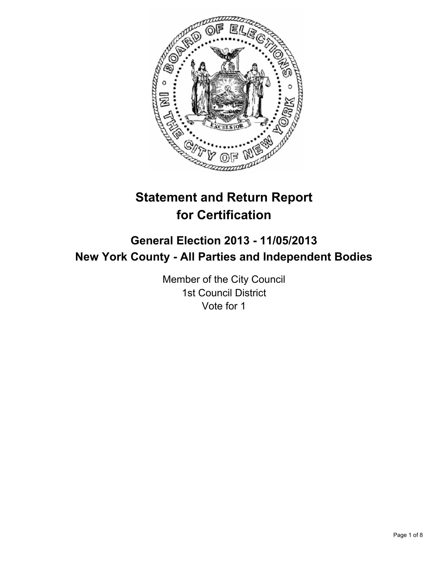

# **Statement and Return Report for Certification**

## **General Election 2013 - 11/05/2013 New York County - All Parties and Independent Bodies**

Member of the City Council 1st Council District Vote for 1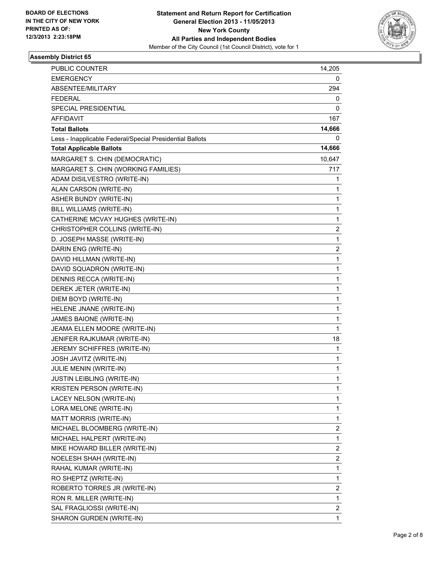

| PUBLIC COUNTER                                           | 14,205         |
|----------------------------------------------------------|----------------|
| <b>EMERGENCY</b>                                         | 0              |
| ABSENTEE/MILITARY<br><b>FEDERAL</b>                      | 294            |
|                                                          | 0              |
| SPECIAL PRESIDENTIAL                                     | 0              |
| AFFIDAVIT                                                | 167            |
| <b>Total Ballots</b>                                     | 14,666         |
| Less - Inapplicable Federal/Special Presidential Ballots | 0              |
| <b>Total Applicable Ballots</b>                          | 14,666         |
| MARGARET S. CHIN (DEMOCRATIC)                            | 10,647         |
| MARGARET S. CHIN (WORKING FAMILIES)                      | 717            |
| ADAM DISILVESTRO (WRITE-IN)                              | 1              |
| ALAN CARSON (WRITE-IN)                                   | 1              |
| <b>ASHER BUNDY (WRITE-IN)</b>                            | $\mathbf{1}$   |
| BILL WILLIAMS (WRITE-IN)                                 | 1              |
| CATHERINE MCVAY HUGHES (WRITE-IN)                        | 1              |
| CHRISTOPHER COLLINS (WRITE-IN)                           | 2              |
| D. JOSEPH MASSE (WRITE-IN)                               | 1              |
| DARIN ENG (WRITE-IN)                                     | 2              |
| DAVID HILLMAN (WRITE-IN)                                 | $\mathbf{1}$   |
| DAVID SQUADRON (WRITE-IN)                                | 1              |
| DENNIS RECCA (WRITE-IN)                                  | 1              |
| DEREK JETER (WRITE-IN)                                   | $\mathbf{1}$   |
| DIEM BOYD (WRITE-IN)                                     | 1              |
| HELENE JNANE (WRITE-IN)                                  | 1              |
| JAMES BAIONE (WRITE-IN)                                  | $\mathbf{1}$   |
| JEAMA ELLEN MOORE (WRITE-IN)                             | 1              |
| JENIFER RAJKUMAR (WRITE-IN)                              | 18             |
| JEREMY SCHIFFRES (WRITE-IN)                              | 1              |
| JOSH JAVITZ (WRITE-IN)                                   | 1              |
| JULIE MENIN (WRITE-IN)                                   | 1              |
| <b>JUSTIN LEIBLING (WRITE-IN)</b>                        | 1              |
| <b>KRISTEN PERSON (WRITE-IN)</b>                         | 1              |
| LACEY NELSON (WRITE-IN)                                  | 1              |
| LORA MELONE (WRITE-IN)                                   | 1              |
| MATT MORRIS (WRITE-IN)                                   | 1              |
| MICHAEL BLOOMBERG (WRITE-IN)                             | 2              |
| MICHAEL HALPERT (WRITE-IN)                               | 1              |
| MIKE HOWARD BILLER (WRITE-IN)                            | 2              |
| NOELESH SHAH (WRITE-IN)                                  | 2              |
| RAHAL KUMAR (WRITE-IN)                                   | $\mathbf{1}$   |
| RO SHEPTZ (WRITE-IN)                                     | 1              |
| ROBERTO TORRES JR (WRITE-IN)                             | 2              |
| RON R. MILLER (WRITE-IN)                                 | 1              |
| SAL FRAGLIOSSI (WRITE-IN)                                | $\overline{2}$ |
| SHARON GURDEN (WRITE-IN)                                 | 1              |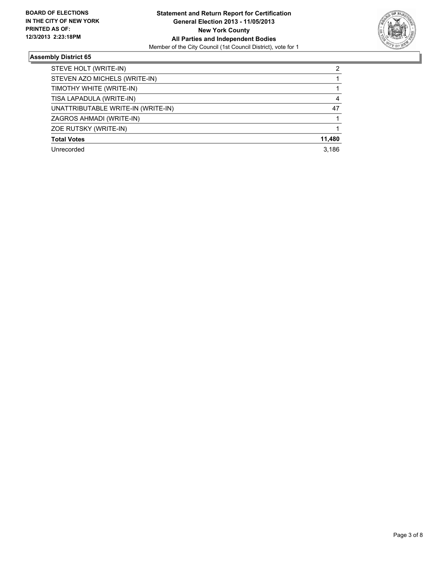

| STEVE HOLT (WRITE-IN)              | 2      |
|------------------------------------|--------|
| STEVEN AZO MICHELS (WRITE-IN)      |        |
| TIMOTHY WHITE (WRITE-IN)           |        |
| TISA LAPADULA (WRITE-IN)           | 4      |
| UNATTRIBUTABLE WRITE-IN (WRITE-IN) | 47     |
| ZAGROS AHMADI (WRITE-IN)           |        |
| ZOE RUTSKY (WRITE-IN)              |        |
| <b>Total Votes</b>                 | 11,480 |
| Unrecorded                         | 3,186  |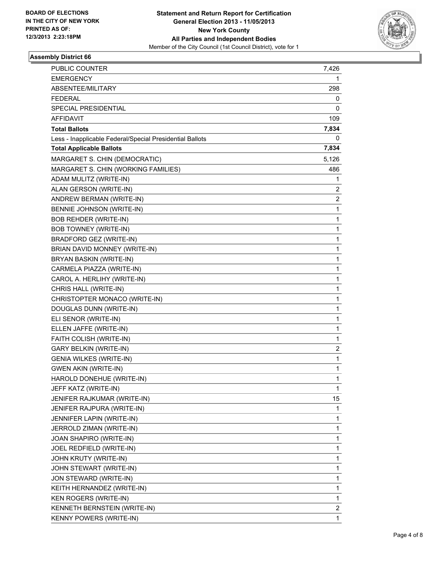

| PUBLIC COUNTER                                           | 7,426                   |
|----------------------------------------------------------|-------------------------|
| <b>EMERGENCY</b>                                         | 1                       |
| ABSENTEE/MILITARY                                        | 298                     |
| <b>FEDERAL</b>                                           | 0                       |
| SPECIAL PRESIDENTIAL                                     | 0                       |
| AFFIDAVIT                                                | 109                     |
| <b>Total Ballots</b>                                     | 7,834                   |
| Less - Inapplicable Federal/Special Presidential Ballots | 0                       |
| <b>Total Applicable Ballots</b>                          | 7,834                   |
| MARGARET S. CHIN (DEMOCRATIC)                            | 5,126                   |
| MARGARET S. CHIN (WORKING FAMILIES)                      | 486                     |
| ADAM MULITZ (WRITE-IN)                                   | 1                       |
| ALAN GERSON (WRITE-IN)                                   | 2                       |
| ANDREW BERMAN (WRITE-IN)                                 | $\overline{\mathbf{c}}$ |
| BENNIE JOHNSON (WRITE-IN)                                | 1                       |
| <b>BOB REHDER (WRITE-IN)</b>                             | 1                       |
| <b>BOB TOWNEY (WRITE-IN)</b>                             | 1                       |
| BRADFORD GEZ (WRITE-IN)                                  | 1                       |
| BRIAN DAVID MONNEY (WRITE-IN)                            | 1                       |
| BRYAN BASKIN (WRITE-IN)                                  | 1                       |
| CARMELA PIAZZA (WRITE-IN)                                | 1                       |
| CAROL A. HERLIHY (WRITE-IN)                              | 1                       |
| CHRIS HALL (WRITE-IN)                                    | 1                       |
| CHRISTOPTER MONACO (WRITE-IN)                            | 1                       |
| DOUGLAS DUNN (WRITE-IN)                                  | 1                       |
| ELI SENOR (WRITE-IN)                                     | 1                       |
| ELLEN JAFFE (WRITE-IN)                                   | 1                       |
| FAITH COLISH (WRITE-IN)                                  | 1                       |
| <b>GARY BELKIN (WRITE-IN)</b>                            | 2                       |
| <b>GENIA WILKES (WRITE-IN)</b>                           | 1                       |
| <b>GWEN AKIN (WRITE-IN)</b>                              | 1                       |
| HAROLD DONEHUE (WRITE-IN)                                | 1                       |
| JEFF KATZ (WRITE-IN)                                     | 1                       |
| JENIFER RAJKUMAR (WRITE-IN)                              | 15                      |
| JENIFER RAJPURA (WRITE-IN)                               | 1                       |
| JENNIFER LAPIN (WRITE-IN)                                | 1                       |
| JERROLD ZIMAN (WRITE-IN)                                 | 1                       |
| JOAN SHAPIRO (WRITE-IN)                                  | 1                       |
| JOEL REDFIELD (WRITE-IN)                                 | 1                       |
| JOHN KRUTY (WRITE-IN)                                    | 1                       |
| JOHN STEWART (WRITE-IN)                                  | 1                       |
| JON STEWARD (WRITE-IN)                                   | 1                       |
| KEITH HERNANDEZ (WRITE-IN)                               | 1                       |
| KEN ROGERS (WRITE-IN)                                    | 1                       |
| KENNETH BERNSTEIN (WRITE-IN)                             | 2                       |
| KENNY POWERS (WRITE-IN)                                  | 1                       |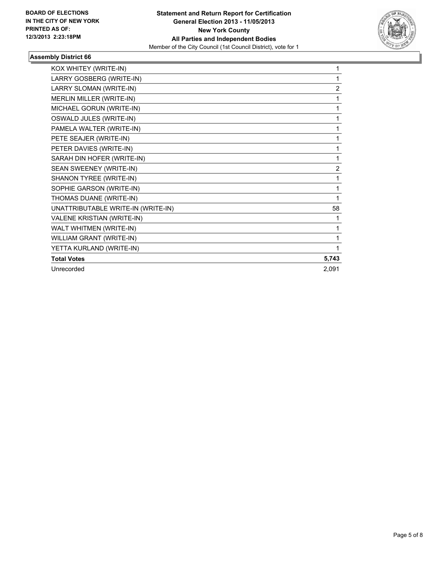

| KOX WHITEY (WRITE-IN)              | 1     |
|------------------------------------|-------|
| LARRY GOSBERG (WRITE-IN)           | 1     |
| LARRY SLOMAN (WRITE-IN)            | 2     |
| MERLIN MILLER (WRITE-IN)           | 1     |
| MICHAEL GORUN (WRITE-IN)           | 1     |
| OSWALD JULES (WRITE-IN)            | 1     |
| PAMELA WALTER (WRITE-IN)           | 1     |
| PETE SEAJER (WRITE-IN)             | 1     |
| PETER DAVIES (WRITE-IN)            | 1     |
| SARAH DIN HOFER (WRITE-IN)         | 1     |
| SEAN SWEENEY (WRITE-IN)            | 2     |
| SHANON TYREE (WRITE-IN)            | 1     |
| SOPHIE GARSON (WRITE-IN)           | 1     |
| THOMAS DUANE (WRITE-IN)            | 1     |
| UNATTRIBUTABLE WRITE-IN (WRITE-IN) | 58    |
| VALENE KRISTIAN (WRITE-IN)         |       |
| WALT WHITMEN (WRITE-IN)            | 1     |
| WILLIAM GRANT (WRITE-IN)           | 1     |
| YETTA KURLAND (WRITE-IN)           | 1     |
| <b>Total Votes</b>                 | 5,743 |
| Unrecorded                         | 2,091 |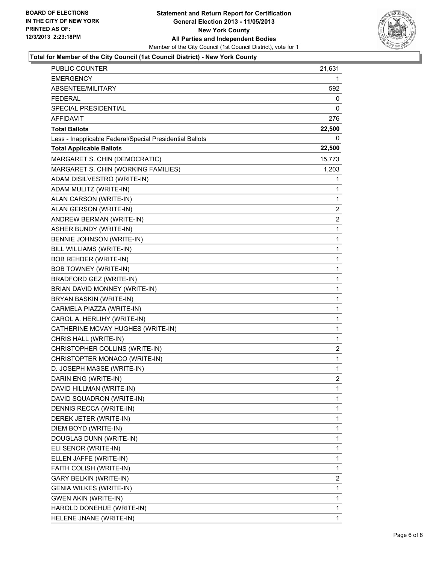

#### **Total for Member of the City Council (1st Council District) - New York County**

| PUBLIC COUNTER                                           | 21,631         |
|----------------------------------------------------------|----------------|
| <b>EMERGENCY</b>                                         | 1              |
| ABSENTEE/MILITARY                                        | 592            |
| <b>FEDERAL</b>                                           | 0              |
| <b>SPECIAL PRESIDENTIAL</b>                              | 0              |
| AFFIDAVIT                                                | 276            |
| <b>Total Ballots</b>                                     | 22,500         |
| Less - Inapplicable Federal/Special Presidential Ballots | 0              |
| <b>Total Applicable Ballots</b>                          | 22,500         |
| MARGARET S. CHIN (DEMOCRATIC)                            | 15,773         |
| MARGARET S. CHIN (WORKING FAMILIES)                      | 1,203          |
| ADAM DISILVESTRO (WRITE-IN)                              | 1              |
| ADAM MULITZ (WRITE-IN)                                   | 1              |
| ALAN CARSON (WRITE-IN)                                   | 1              |
| ALAN GERSON (WRITE-IN)                                   | 2              |
| ANDREW BERMAN (WRITE-IN)                                 | $\overline{c}$ |
| ASHER BUNDY (WRITE-IN)                                   | 1              |
| BENNIE JOHNSON (WRITE-IN)                                | 1              |
| BILL WILLIAMS (WRITE-IN)                                 | 1              |
| <b>BOB REHDER (WRITE-IN)</b>                             | 1              |
| <b>BOB TOWNEY (WRITE-IN)</b>                             | 1              |
| BRADFORD GEZ (WRITE-IN)                                  | 1              |
| BRIAN DAVID MONNEY (WRITE-IN)                            | 1              |
| BRYAN BASKIN (WRITE-IN)                                  | 1              |
| CARMELA PIAZZA (WRITE-IN)                                | 1              |
| CAROL A. HERLIHY (WRITE-IN)                              | 1              |
| CATHERINE MCVAY HUGHES (WRITE-IN)                        | 1              |
| CHRIS HALL (WRITE-IN)                                    | 1              |
| CHRISTOPHER COLLINS (WRITE-IN)                           | 2              |
| CHRISTOPTER MONACO (WRITE-IN)                            | 1              |
| D. JOSEPH MASSE (WRITE-IN)                               | 1              |
| DARIN ENG (WRITE-IN)                                     | $\overline{2}$ |
| DAVID HILLMAN (WRITE-IN)                                 | 1              |
| DAVID SQUADRON (WRITE-IN)                                | 1              |
| DENNIS RECCA (WRITE-IN)                                  | 1              |
| DEREK JETER (WRITE-IN)                                   | 1              |
| DIEM BOYD (WRITE-IN)                                     | 1              |
| DOUGLAS DUNN (WRITE-IN)                                  | 1              |
| ELI SENOR (WRITE-IN)                                     | 1              |
| ELLEN JAFFE (WRITE-IN)                                   | 1              |
| FAITH COLISH (WRITE-IN)                                  | 1              |
| <b>GARY BELKIN (WRITE-IN)</b>                            | 2              |
| GENIA WILKES (WRITE-IN)                                  | 1              |
| <b>GWEN AKIN (WRITE-IN)</b>                              | 1              |
| HAROLD DONEHUE (WRITE-IN)                                | 1              |
| HELENE JNANE (WRITE-IN)                                  | 1              |
|                                                          |                |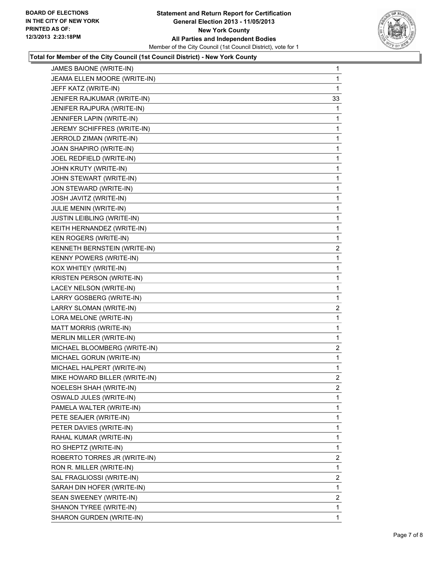

#### **Total for Member of the City Council (1st Council District) - New York County**

| JAMES BAIONE (WRITE-IN)        | 1              |
|--------------------------------|----------------|
| JEAMA ELLEN MOORE (WRITE-IN)   | 1              |
| JEFF KATZ (WRITE-IN)           | 1              |
| JENIFER RAJKUMAR (WRITE-IN)    | 33             |
| JENIFER RAJPURA (WRITE-IN)     | 1              |
| JENNIFER LAPIN (WRITE-IN)      | 1              |
| JEREMY SCHIFFRES (WRITE-IN)    | 1              |
| JERROLD ZIMAN (WRITE-IN)       | 1              |
| JOAN SHAPIRO (WRITE-IN)        | 1              |
| JOEL REDFIELD (WRITE-IN)       | 1              |
| JOHN KRUTY (WRITE-IN)          | 1              |
| JOHN STEWART (WRITE-IN)        | 1              |
| JON STEWARD (WRITE-IN)         | 1              |
| JOSH JAVITZ (WRITE-IN)         | 1              |
| JULIE MENIN (WRITE-IN)         | 1              |
| JUSTIN LEIBLING (WRITE-IN)     | 1              |
| KEITH HERNANDEZ (WRITE-IN)     | 1              |
| KEN ROGERS (WRITE-IN)          | 1              |
| KENNETH BERNSTEIN (WRITE-IN)   | $\mathbf{2}$   |
| <b>KENNY POWERS (WRITE-IN)</b> | 1              |
| KOX WHITEY (WRITE-IN)          | 1              |
| KRISTEN PERSON (WRITE-IN)      | 1              |
| LACEY NELSON (WRITE-IN)        | 1              |
| LARRY GOSBERG (WRITE-IN)       | 1              |
| LARRY SLOMAN (WRITE-IN)        | $\mathbf{2}$   |
| LORA MELONE (WRITE-IN)         | 1              |
| MATT MORRIS (WRITE-IN)         | 1              |
| MERLIN MILLER (WRITE-IN)       | 1              |
| MICHAEL BLOOMBERG (WRITE-IN)   | $\overline{c}$ |
| MICHAEL GORUN (WRITE-IN)       | 1              |
| MICHAEL HALPERT (WRITE-IN)     | 1              |
| MIKE HOWARD BILLER (WRITE-IN)  | $\overline{c}$ |
| NOELESH SHAH (WRITE-IN)        | 2              |
| OSWALD JULES (WRITE-IN)        | 1              |
| PAMELA WALTER (WRITE-IN)       | 1              |
| PETE SEAJER (WRITE-IN)         | 1              |
| PETER DAVIES (WRITE-IN)        | 1              |
| RAHAL KUMAR (WRITE-IN)         | 1              |
| RO SHEPTZ (WRITE-IN)           | 1              |
| ROBERTO TORRES JR (WRITE-IN)   | $\overline{2}$ |
| RON R. MILLER (WRITE-IN)       | 1              |
| SAL FRAGLIOSSI (WRITE-IN)      | 2              |
| SARAH DIN HOFER (WRITE-IN)     | 1              |
| SEAN SWEENEY (WRITE-IN)        | 2              |
| SHANON TYREE (WRITE-IN)        | 1              |
| SHARON GURDEN (WRITE-IN)       | 1              |